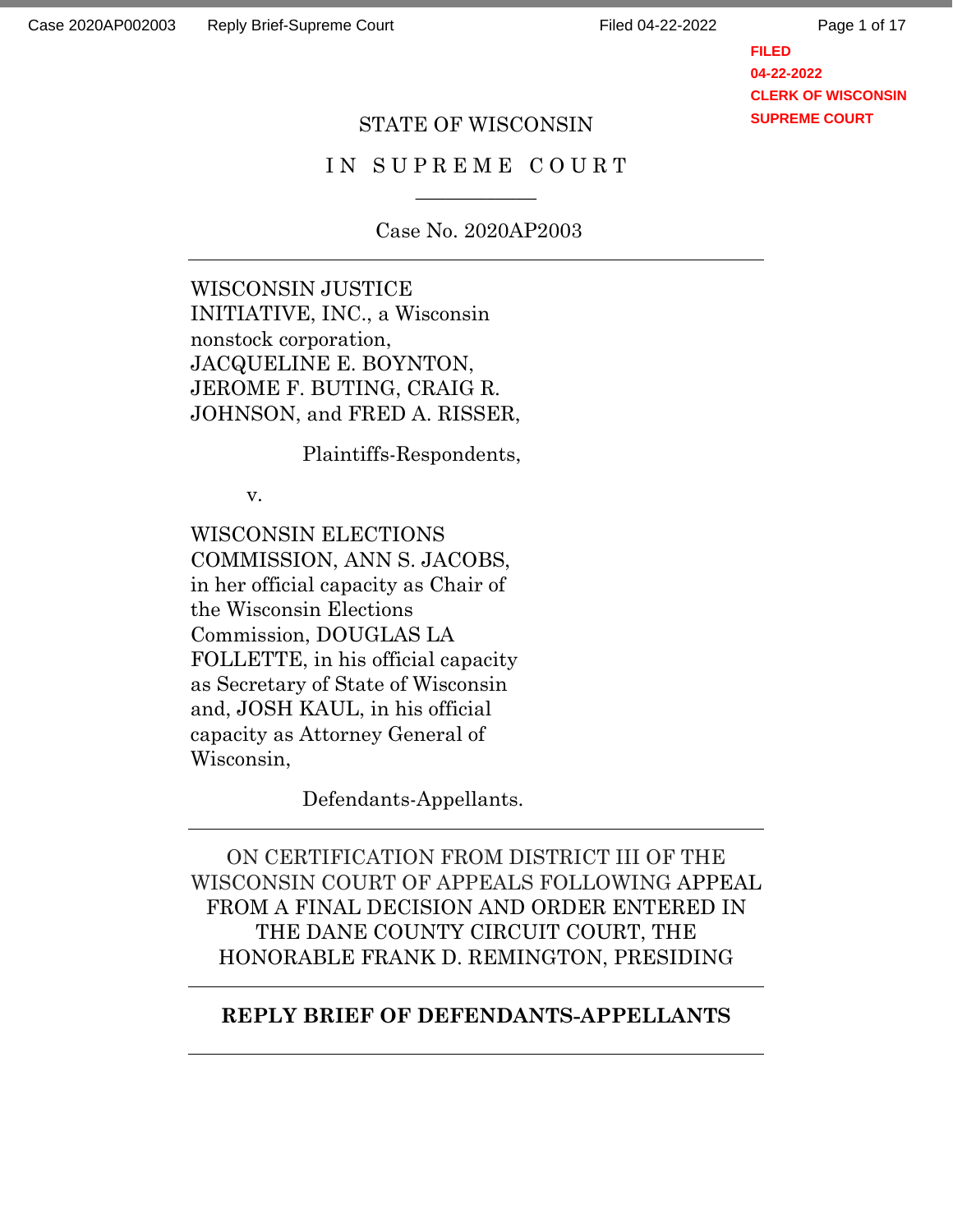Page 1 of 17

**FILED 04-22-2022 CLERK OF WISCONSIN SUPREME COURT**

### STATE OF WISCONSIN

## IN SUPREME COURT  $\overline{\phantom{a}}$

Case No. 2020AP2003

WISCONSIN JUSTICE INITIATIVE, INC., a Wisconsin nonstock corporation, JACQUELINE E. BOYNTON, JEROME F. BUTING, CRAIG R. JOHNSON, and FRED A. RISSER,

Plaintiffs-Respondents,

v.

WISCONSIN ELECTIONS COMMISSION, ANN S. JACOBS, in her official capacity as Chair of the Wisconsin Elections Commission, DOUGLAS LA FOLLETTE, in his official capacity as Secretary of State of Wisconsin and, JOSH KAUL, in his official capacity as Attorney General of Wisconsin,

Defendants-Appellants.

ON CERTIFICATION FROM DISTRICT III OF THE WISCONSIN COURT OF APPEALS FOLLOWING APPEAL FROM A FINAL DECISION AND ORDER ENTERED IN THE DANE COUNTY CIRCUIT COURT, THE HONORABLE FRANK D. REMINGTON, PRESIDING

#### **REPLY BRIEF OF DEFENDANTS-APPELLANTS**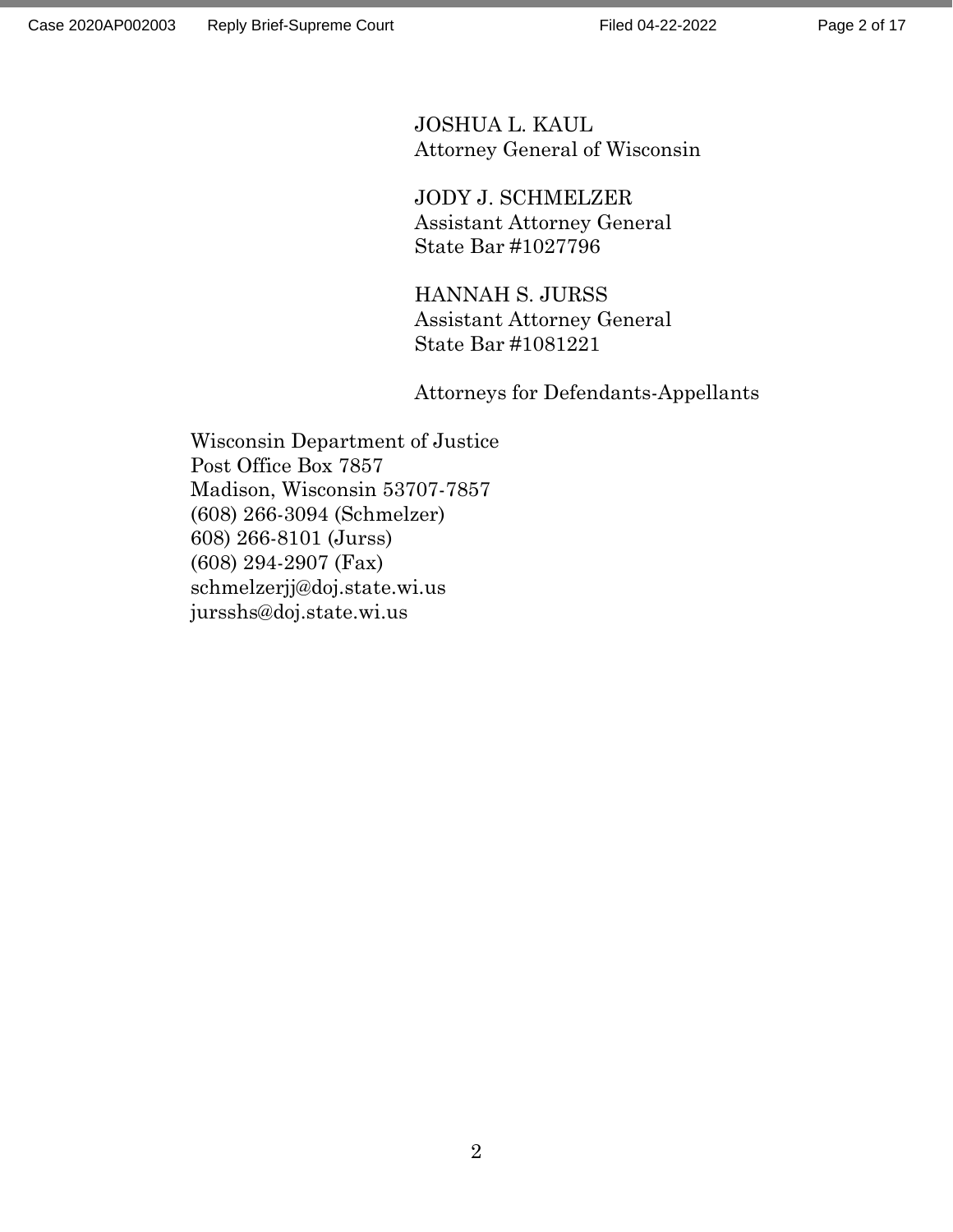JOSHUA L. KAUL Attorney General of Wisconsin

JODY J. SCHMELZER Assistant Attorney General State Bar #1027796

HANNAH S. JURSS Assistant Attorney General State Bar #1081221

Attorneys for Defendants-Appellants

Wisconsin Department of Justice Post Office Box 7857 Madison, Wisconsin 53707-7857 (608) 266-3094 (Schmelzer) 608) 266-8101 (Jurss) (608) 294-2907 (Fax) schmelzerjj@doj.state.wi.us jursshs@doj.state.wi.us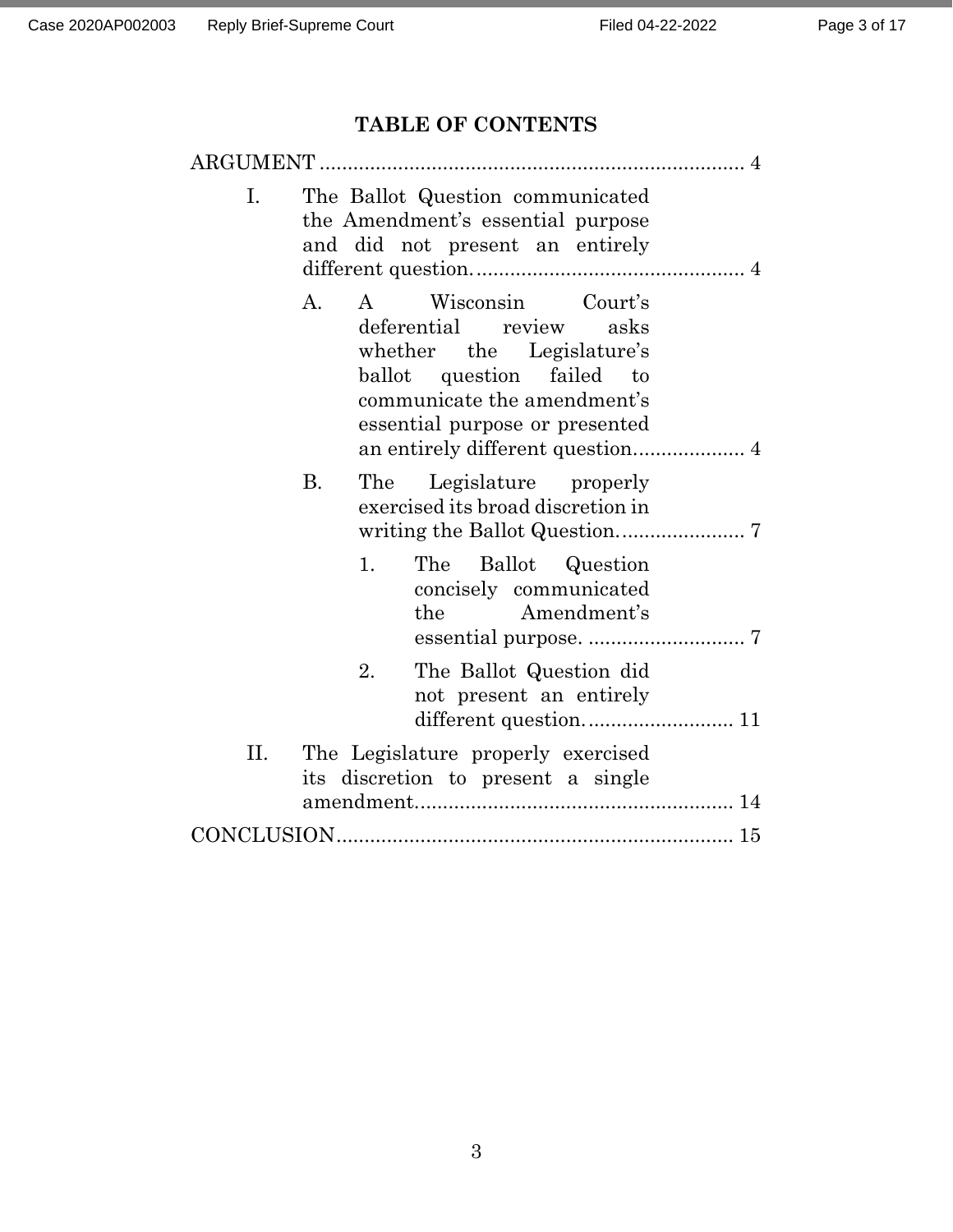# **TABLE OF CONTENTS**

| ARGUMENT                                                                                                                                                                                      |  |
|-----------------------------------------------------------------------------------------------------------------------------------------------------------------------------------------------|--|
| Ι.<br>The Ballot Question communicated<br>the Amendment's essential purpose<br>and did not present an entirely                                                                                |  |
| Wisconsin Court's<br>A.<br>$\mathsf{A}$<br>deferential review asks<br>whether the Legislature's<br>ballot question failed to<br>communicate the amendment's<br>essential purpose or presented |  |
| <b>B.</b><br>Legislature properly<br>The<br>exercised its broad discretion in                                                                                                                 |  |
| 1.<br>The<br>Ballot Question<br>concisely communicated<br>the Amendment's                                                                                                                     |  |
| 2.<br>The Ballot Question did<br>not present an entirely                                                                                                                                      |  |
| Π.<br>The Legislature properly exercised<br>its discretion to present a single                                                                                                                |  |
|                                                                                                                                                                                               |  |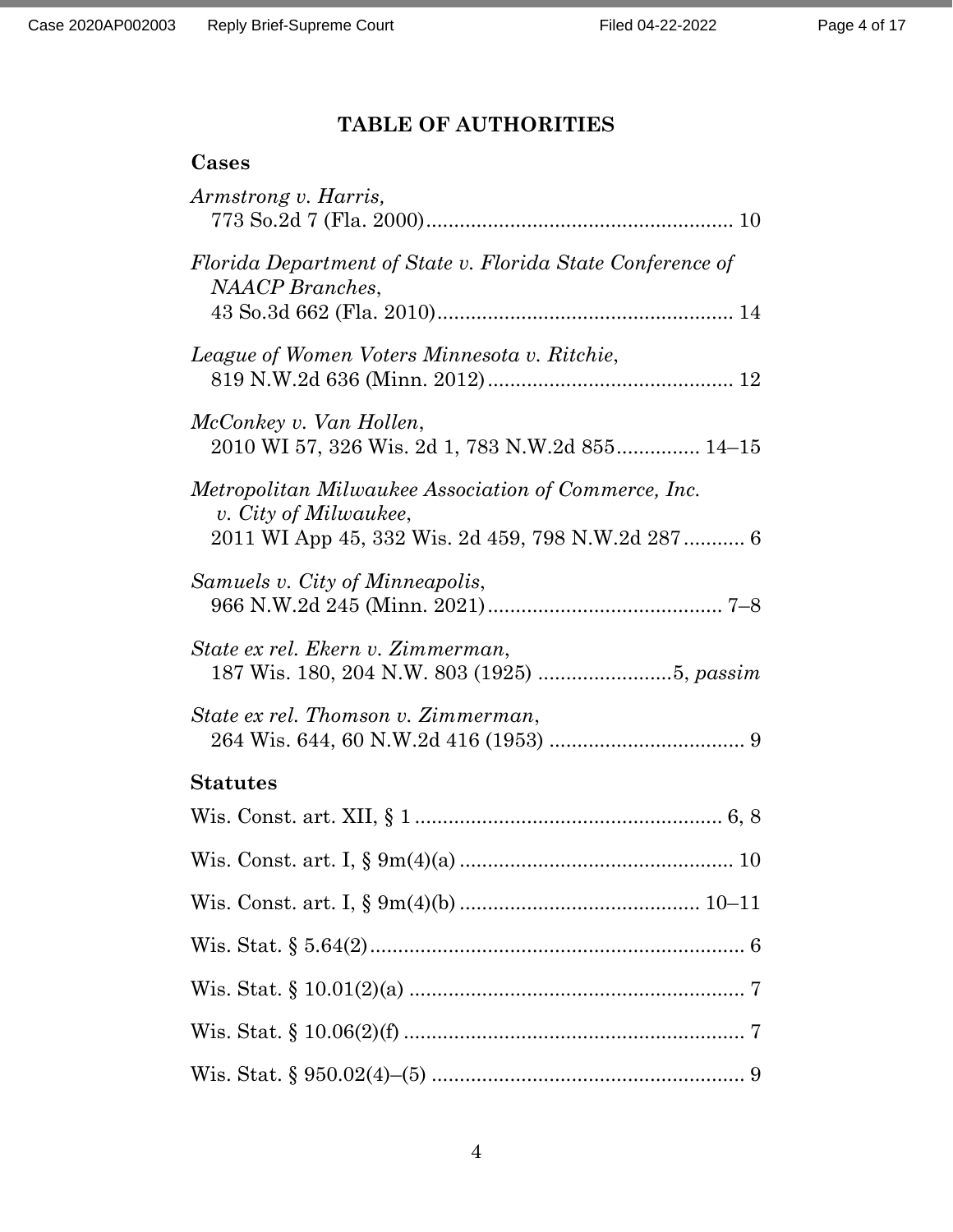# **TABLE OF AUTHORITIES**

# **Cases**

| Armstrong v. Harris,                                                                                                                |
|-------------------------------------------------------------------------------------------------------------------------------------|
| Florida Department of State v. Florida State Conference of<br><b>NAACP</b> Branches,                                                |
| League of Women Voters Minnesota v. Ritchie,                                                                                        |
| McConkey v. Van Hollen,<br>2010 WI 57, 326 Wis. 2d 1, 783 N.W.2d 855 14-15                                                          |
| Metropolitan Milwaukee Association of Commerce, Inc.<br>v. City of Milwaukee,<br>2011 WI App 45, 332 Wis. 2d 459, 798 N.W.2d 287  6 |
| Samuels v. City of Minneapolis,                                                                                                     |
| State ex rel. Ekern v. Zimmerman,                                                                                                   |
| State ex rel. Thomson v. Zimmerman,                                                                                                 |
| <b>Statutes</b>                                                                                                                     |
|                                                                                                                                     |
|                                                                                                                                     |
|                                                                                                                                     |
|                                                                                                                                     |
|                                                                                                                                     |
|                                                                                                                                     |
|                                                                                                                                     |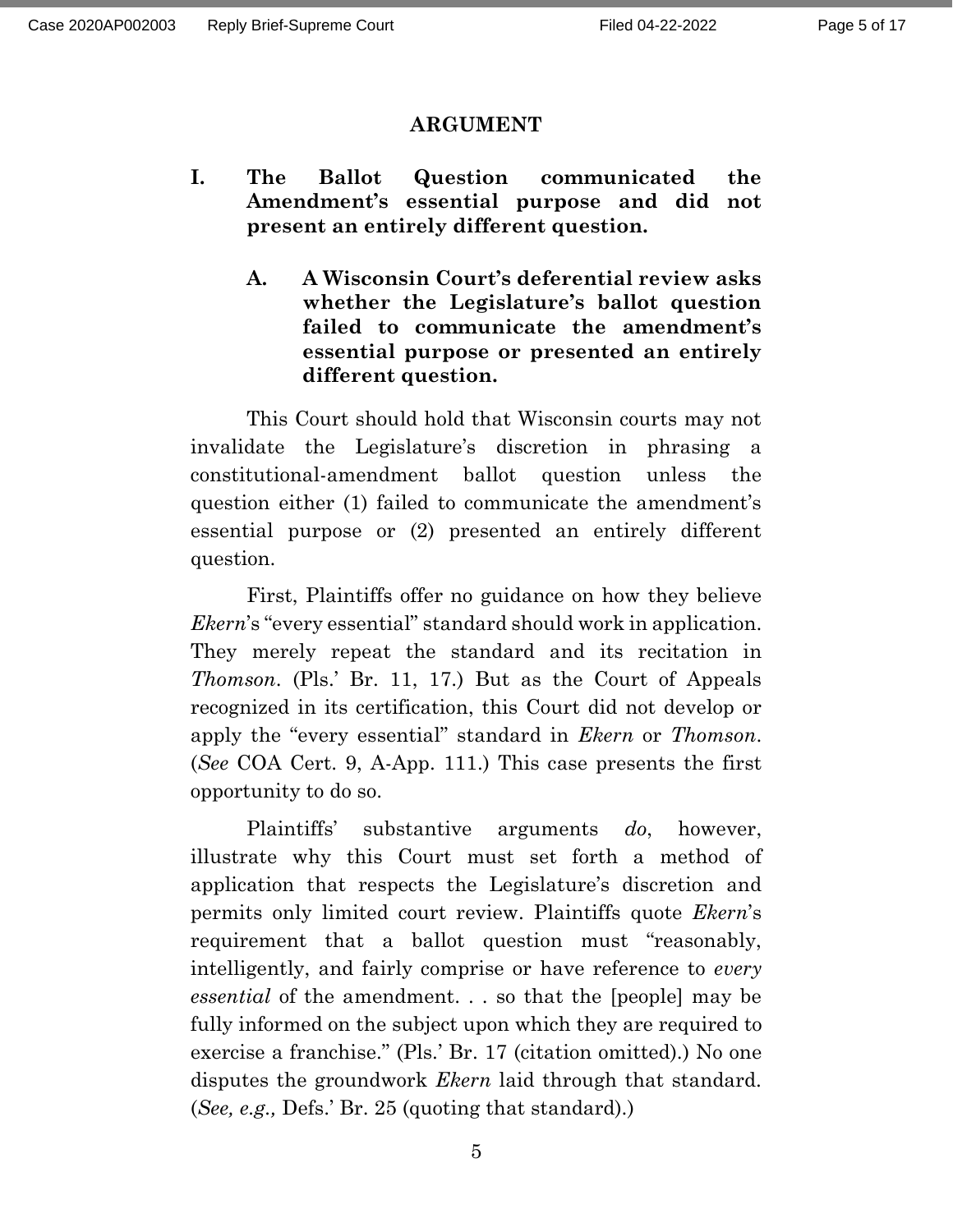### **ARGUMENT**

- **I. The Ballot Question communicated the Amendment's essential purpose and did not present an entirely different question.** 
	- **A. A Wisconsin Court's deferential review asks whether the Legislature's ballot question failed to communicate the amendment's essential purpose or presented an entirely different question.**

This Court should hold that Wisconsin courts may not invalidate the Legislature's discretion in phrasing a constitutional-amendment ballot question unless the question either (1) failed to communicate the amendment's essential purpose or (2) presented an entirely different question.

First, Plaintiffs offer no guidance on how they believe *Ekern*'s "every essential" standard should work in application. They merely repeat the standard and its recitation in *Thomson*. (Pls.' Br. 11, 17.) But as the Court of Appeals recognized in its certification, this Court did not develop or apply the "every essential" standard in *Ekern* or *Thomson*. (*See* COA Cert. 9, A-App. 111.) This case presents the first opportunity to do so.

Plaintiffs' substantive arguments *do*, however, illustrate why this Court must set forth a method of application that respects the Legislature's discretion and permits only limited court review. Plaintiffs quote *Ekern*'s requirement that a ballot question must "reasonably, intelligently, and fairly comprise or have reference to *every essential* of the amendment. . . so that the [people] may be fully informed on the subject upon which they are required to exercise a franchise." (Pls.' Br. 17 (citation omitted).) No one disputes the groundwork *Ekern* laid through that standard. (*See, e.g.,* Defs.' Br. 25 (quoting that standard).)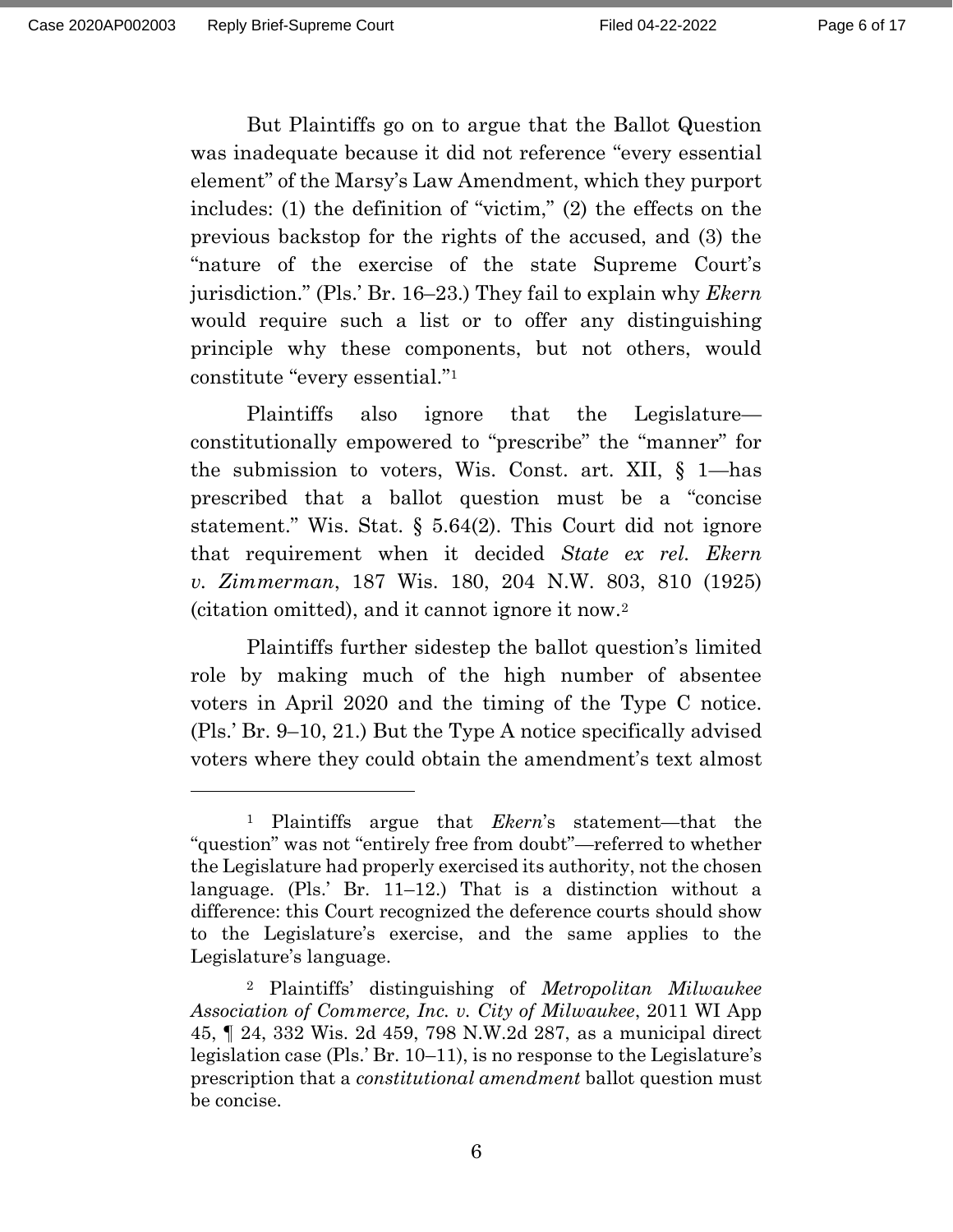But Plaintiffs go on to argue that the Ballot Question was inadequate because it did not reference "every essential element" of the Marsy's Law Amendment, which they purport includes: (1) the definition of "victim," (2) the effects on the previous backstop for the rights of the accused, and (3) the "nature of the exercise of the state Supreme Court's jurisdiction." (Pls.' Br. 16–23.) They fail to explain why *Ekern*  would require such a list or to offer any distinguishing principle why these components, but not others, would constitute "every essential." 1

Plaintiffs also ignore that the Legislature constitutionally empowered to "prescribe" the "manner" for the submission to voters, Wis. Const. art. XII, § 1—has prescribed that a ballot question must be a "concise statement." Wis. Stat. § 5.64(2). This Court did not ignore that requirement when it decided *State ex rel. Ekern v. Zimmerman*, 187 Wis. 180, 204 N.W. 803, 810 (1925) (citation omitted), and it cannot ignore it now.<sup>2</sup>

Plaintiffs further sidestep the ballot question's limited role by making much of the high number of absentee voters in April 2020 and the timing of the Type C notice. (Pls.' Br. 9–10, 21.) But the Type A notice specifically advised voters where they could obtain the amendment's text almost

<sup>1</sup> Plaintiffs argue that *Ekern*'s statement*—*that the "question" was not "entirely free from doubt"—referred to whether the Legislature had properly exercised its authority, not the chosen language. (Pls.' Br. 11–12.) That is a distinction without a difference: this Court recognized the deference courts should show to the Legislature's exercise, and the same applies to the Legislature's language.

<sup>2</sup> Plaintiffs' distinguishing of *Metropolitan Milwaukee Association of Commerce, Inc. v. City of Milwaukee*, 2011 WI App 45, ¶ 24, 332 Wis. 2d 459, 798 N.W.2d 287, as a municipal direct legislation case (Pls.' Br. 10–11), is no response to the Legislature's prescription that a *constitutional amendment* ballot question must be concise.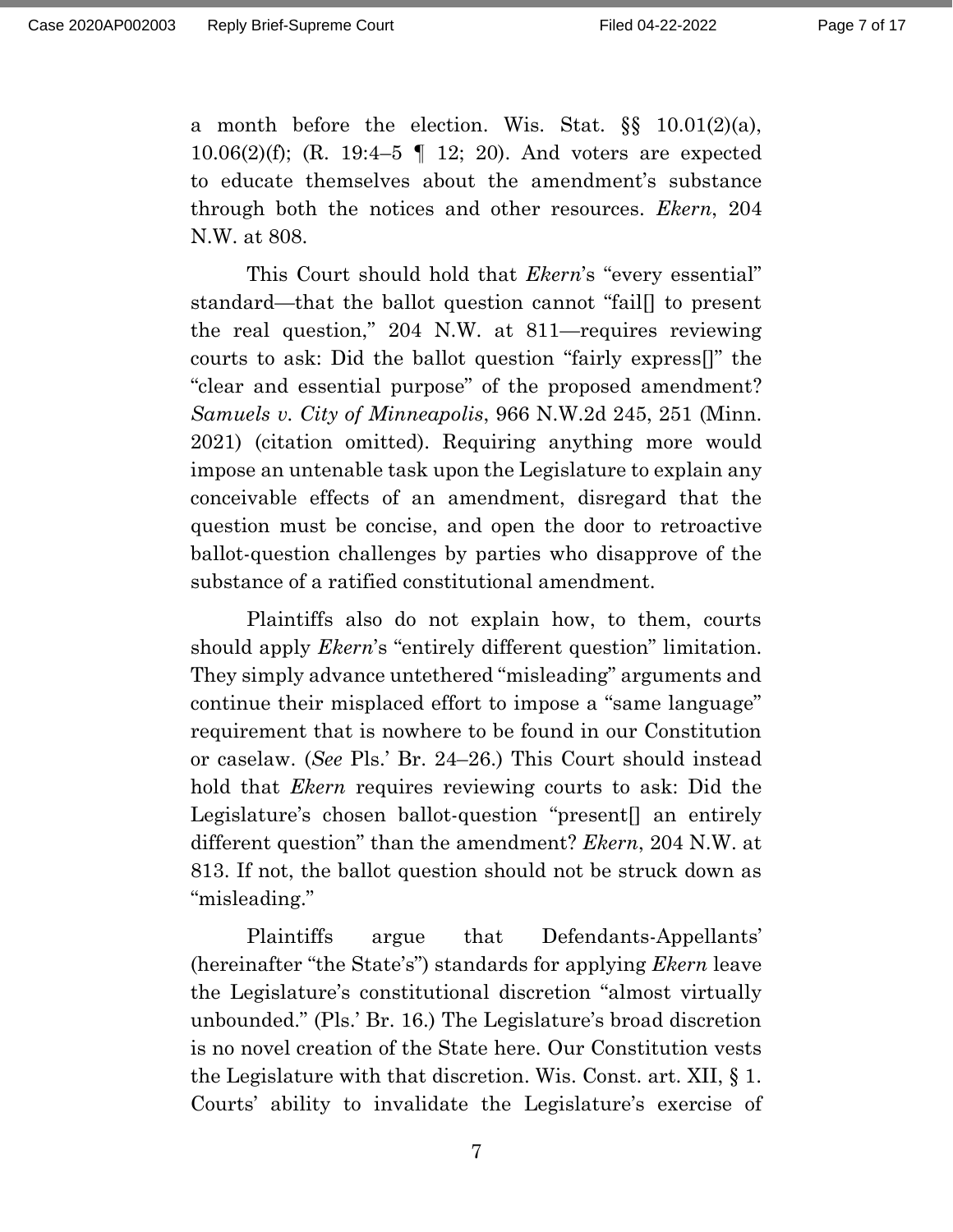a month before the election. Wis. Stat. §§ 10.01(2)(a), 10.06(2)(f); (R. 19:4–5 ¶ 12; 20). And voters are expected to educate themselves about the amendment's substance through both the notices and other resources. *Ekern*, 204 N.W. at 808.

This Court should hold that *Ekern*'s "every essential" standard—that the ballot question cannot "fail[] to present the real question," 204 N.W. at 811—requires reviewing courts to ask: Did the ballot question "fairly express[]" the "clear and essential purpose" of the proposed amendment? *Samuels v. City of Minneapolis*, 966 N.W.2d 245, 251 (Minn. 2021) (citation omitted). Requiring anything more would impose an untenable task upon the Legislature to explain any conceivable effects of an amendment, disregard that the question must be concise, and open the door to retroactive ballot-question challenges by parties who disapprove of the substance of a ratified constitutional amendment.

Plaintiffs also do not explain how, to them, courts should apply *Ekern*'s "entirely different question" limitation. They simply advance untethered "misleading" arguments and continue their misplaced effort to impose a "same language" requirement that is nowhere to be found in our Constitution or caselaw. (*See* Pls.' Br. 24–26.) This Court should instead hold that *Ekern* requires reviewing courts to ask: Did the Legislature's chosen ballot-question "present[] an entirely different question" than the amendment? *Ekern*, 204 N.W. at 813. If not, the ballot question should not be struck down as "misleading."

Plaintiffs argue that Defendants-Appellants' (hereinafter "the State's") standards for applying *Ekern* leave the Legislature's constitutional discretion "almost virtually unbounded." (Pls.' Br. 16.) The Legislature's broad discretion is no novel creation of the State here. Our Constitution vests the Legislature with that discretion. Wis. Const. art. XII, § 1. Courts' ability to invalidate the Legislature's exercise of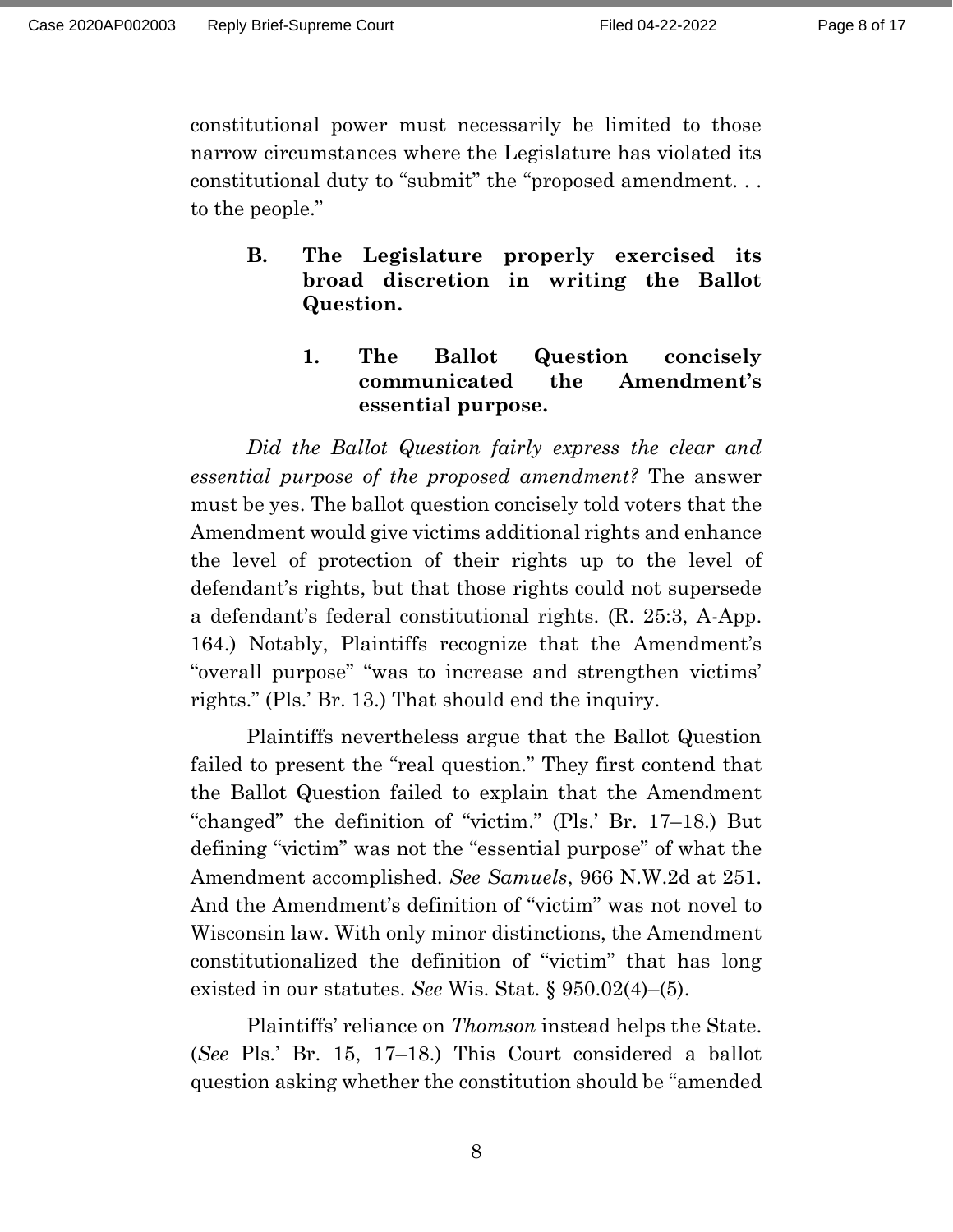constitutional power must necessarily be limited to those narrow circumstances where the Legislature has violated its constitutional duty to "submit" the "proposed amendment. . . to the people."

**B. The Legislature properly exercised its broad discretion in writing the Ballot Question.** 

# **1. The Ballot Question concisely communicated the Amendment's essential purpose.**

*Did the Ballot Question fairly express the clear and essential purpose of the proposed amendment?* The answer must be yes. The ballot question concisely told voters that the Amendment would give victims additional rights and enhance the level of protection of their rights up to the level of defendant's rights, but that those rights could not supersede a defendant's federal constitutional rights. (R. 25:3, A-App. 164.) Notably, Plaintiffs recognize that the Amendment's "overall purpose" "was to increase and strengthen victims' rights." (Pls.' Br. 13.) That should end the inquiry.

Plaintiffs nevertheless argue that the Ballot Question failed to present the "real question." They first contend that the Ballot Question failed to explain that the Amendment "changed" the definition of "victim." (Pls.' Br. 17–18.) But defining "victim" was not the "essential purpose" of what the Amendment accomplished. *See Samuels*, 966 N.W.2d at 251. And the Amendment's definition of "victim" was not novel to Wisconsin law. With only minor distinctions, the Amendment constitutionalized the definition of "victim" that has long existed in our statutes. *See* Wis. Stat. § 950.02(4)–(5).

Plaintiffs' reliance on *Thomson* instead helps the State. (*See* Pls.' Br. 15, 17–18.) This Court considered a ballot question asking whether the constitution should be "amended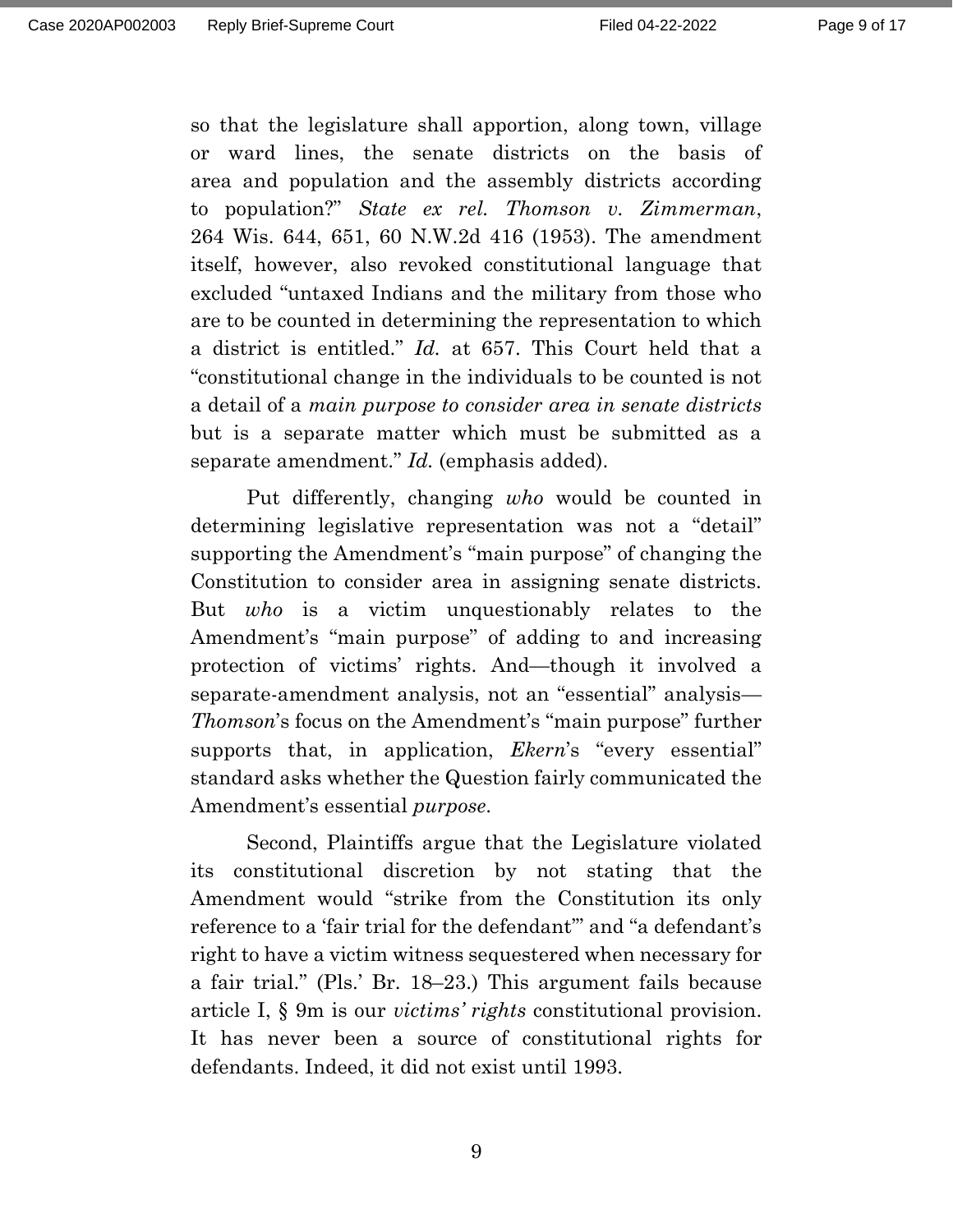so that the legislature shall apportion, along town, village or ward lines, the senate districts on the basis of area and population and the assembly districts according to population?" *State ex rel. Thomson v. Zimmerman*, 264 Wis. 644, 651, 60 N.W.2d 416 (1953). The amendment itself, however, also revoked constitutional language that excluded "untaxed Indians and the military from those who are to be counted in determining the representation to which a district is entitled." *Id.* at 657. This Court held that a "constitutional change in the individuals to be counted is not a detail of a *main purpose to consider area in senate districts* but is a separate matter which must be submitted as a separate amendment." *Id.* (emphasis added).

Put differently, changing *who* would be counted in determining legislative representation was not a "detail" supporting the Amendment's "main purpose" of changing the Constitution to consider area in assigning senate districts. But *who* is a victim unquestionably relates to the Amendment's "main purpose" of adding to and increasing protection of victims' rights. And—though it involved a separate-amendment analysis, not an "essential" analysis— *Thomson*'s focus on the Amendment's "main purpose" further supports that, in application, *Ekern*'s "every essential" standard asks whether the Question fairly communicated the Amendment's essential *purpose*.

Second, Plaintiffs argue that the Legislature violated its constitutional discretion by not stating that the Amendment would "strike from the Constitution its only reference to a 'fair trial for the defendant'" and "a defendant's right to have a victim witness sequestered when necessary for a fair trial." (Pls.' Br. 18–23.) This argument fails because article I, § 9m is our *victims' rights* constitutional provision. It has never been a source of constitutional rights for defendants. Indeed, it did not exist until 1993.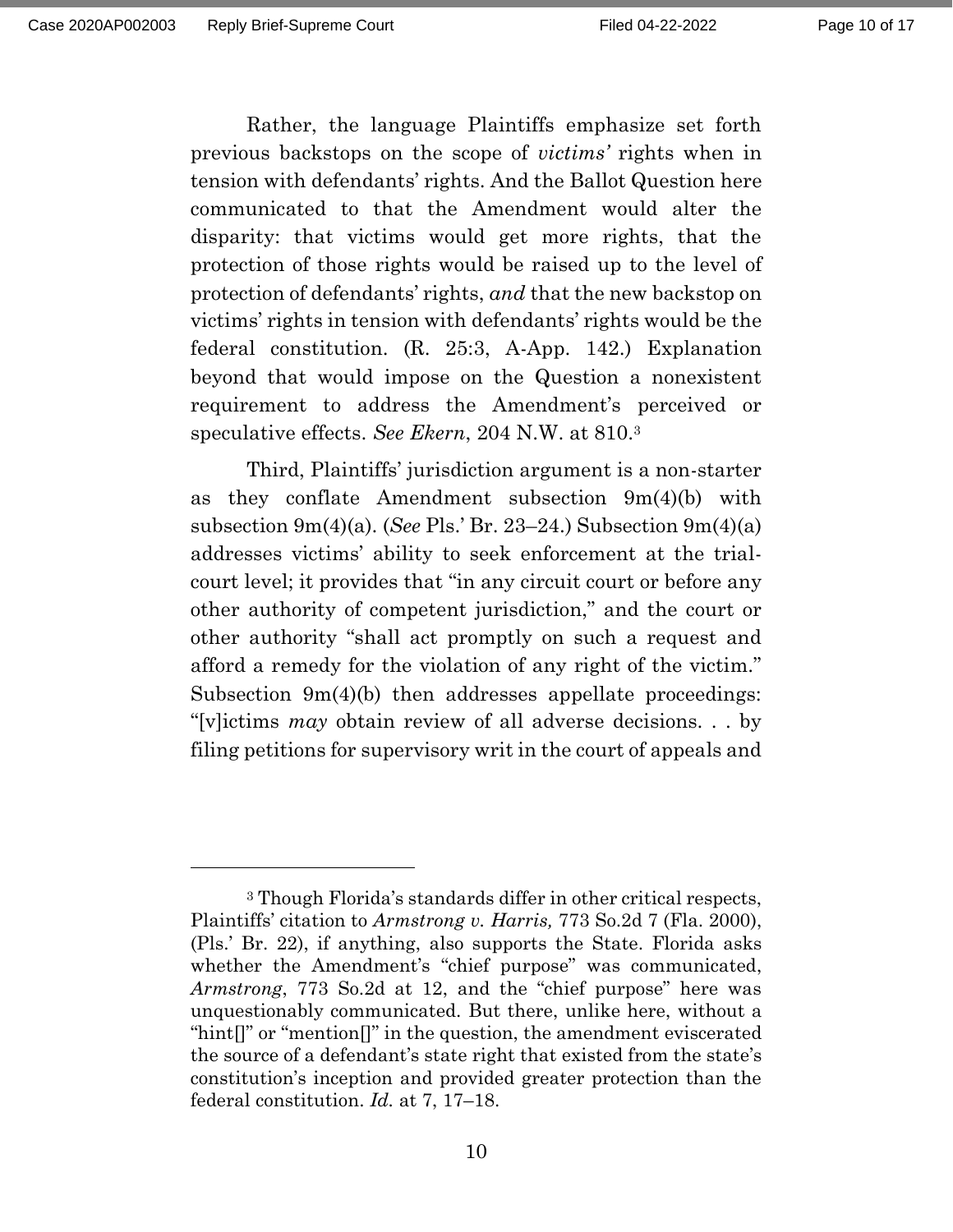Rather, the language Plaintiffs emphasize set forth previous backstops on the scope of *victims'* rights when in tension with defendants' rights. And the Ballot Question here communicated to that the Amendment would alter the disparity: that victims would get more rights, that the protection of those rights would be raised up to the level of protection of defendants' rights, *and* that the new backstop on victims' rights in tension with defendants' rights would be the federal constitution. (R. 25:3, A-App. 142.) Explanation beyond that would impose on the Question a nonexistent requirement to address the Amendment's perceived or speculative effects. *See Ekern*, 204 N.W. at 810.<sup>3</sup>

Third, Plaintiffs' jurisdiction argument is a non-starter as they conflate Amendment subsection  $9m(4)(b)$  with subsection 9m(4)(a). (*See* Pls.' Br. 23–24.) Subsection 9m(4)(a) addresses victims' ability to seek enforcement at the trialcourt level; it provides that "in any circuit court or before any other authority of competent jurisdiction," and the court or other authority "shall act promptly on such a request and afford a remedy for the violation of any right of the victim." Subsection 9m(4)(b) then addresses appellate proceedings: "[v]ictims *may* obtain review of all adverse decisions. . . by filing petitions for supervisory writ in the court of appeals and

<sup>3</sup> Though Florida's standards differ in other critical respects, Plaintiffs' citation to *Armstrong v. Harris,* 773 So.2d 7 (Fla. 2000), (Pls.' Br. 22), if anything, also supports the State. Florida asks whether the Amendment's "chief purpose" was communicated, *Armstrong*, 773 So.2d at 12, and the "chief purpose" here was unquestionably communicated. But there, unlike here, without a "hint[]" or "mention[]" in the question, the amendment eviscerated the source of a defendant's state right that existed from the state's constitution's inception and provided greater protection than the federal constitution. *Id.* at 7, 17–18.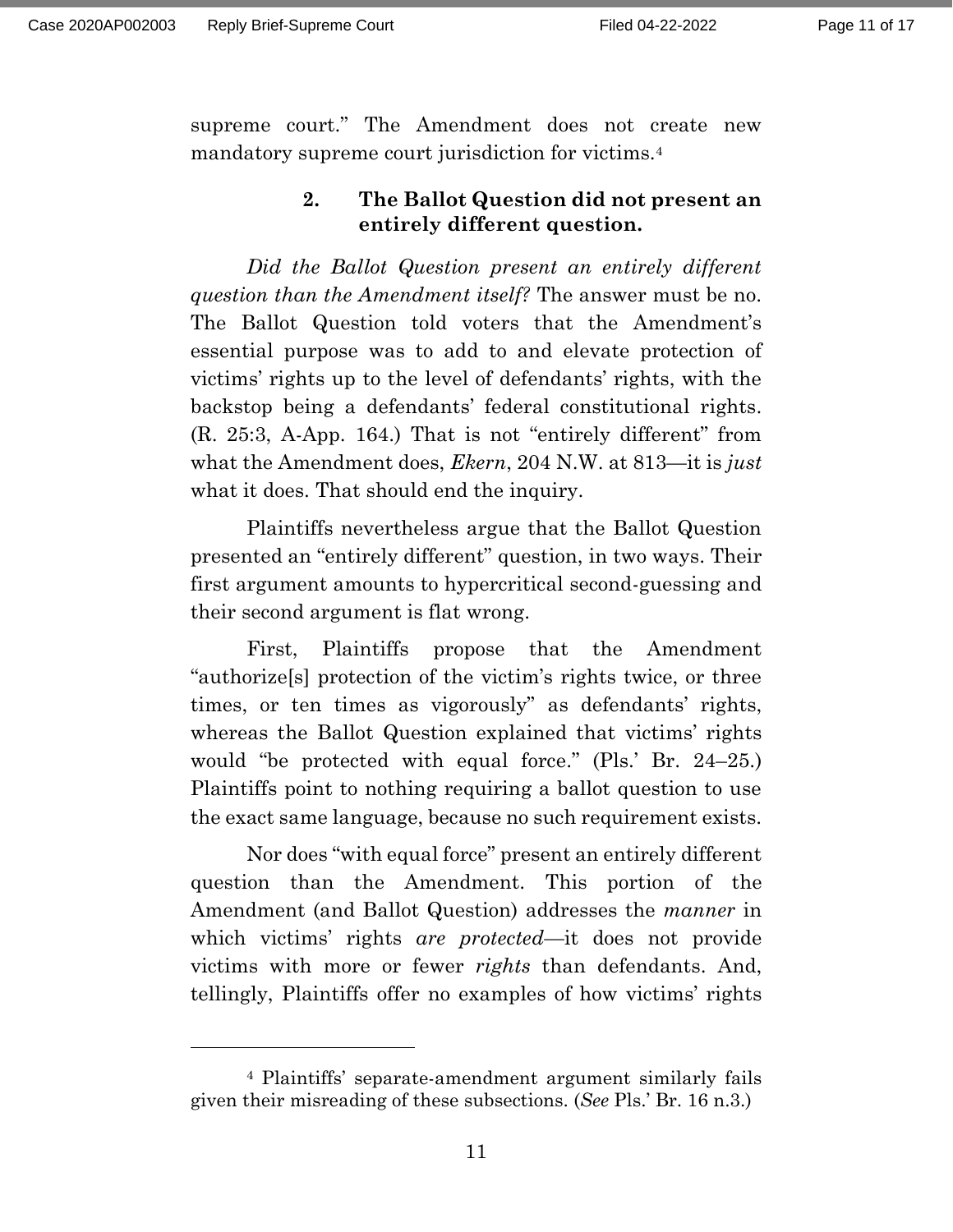supreme court." The Amendment does not create new mandatory supreme court jurisdiction for victims.<sup>4</sup>

### **2. The Ballot Question did not present an entirely different question.**

*Did the Ballot Question present an entirely different question than the Amendment itself?* The answer must be no. The Ballot Question told voters that the Amendment's essential purpose was to add to and elevate protection of victims' rights up to the level of defendants' rights, with the backstop being a defendants' federal constitutional rights. (R. 25:3, A-App. 164.) That is not "entirely different" from what the Amendment does, *Ekern*, 204 N.W. at 813—it is *just*  what it does. That should end the inquiry.

Plaintiffs nevertheless argue that the Ballot Question presented an "entirely different" question, in two ways. Their first argument amounts to hypercritical second-guessing and their second argument is flat wrong.

First, Plaintiffs propose that the Amendment "authorize[s] protection of the victim's rights twice, or three times, or ten times as vigorously" as defendants' rights, whereas the Ballot Question explained that victims' rights would "be protected with equal force." (Pls.' Br. 24–25.) Plaintiffs point to nothing requiring a ballot question to use the exact same language, because no such requirement exists.

Nor does "with equal force" present an entirely different question than the Amendment. This portion of the Amendment (and Ballot Question) addresses the *manner* in which victims' rights *are protected*—it does not provide victims with more or fewer *rights* than defendants. And, tellingly, Plaintiffs offer no examples of how victims' rights

<sup>4</sup> Plaintiffs' separate-amendment argument similarly fails given their misreading of these subsections. (*See* Pls.' Br. 16 n.3.)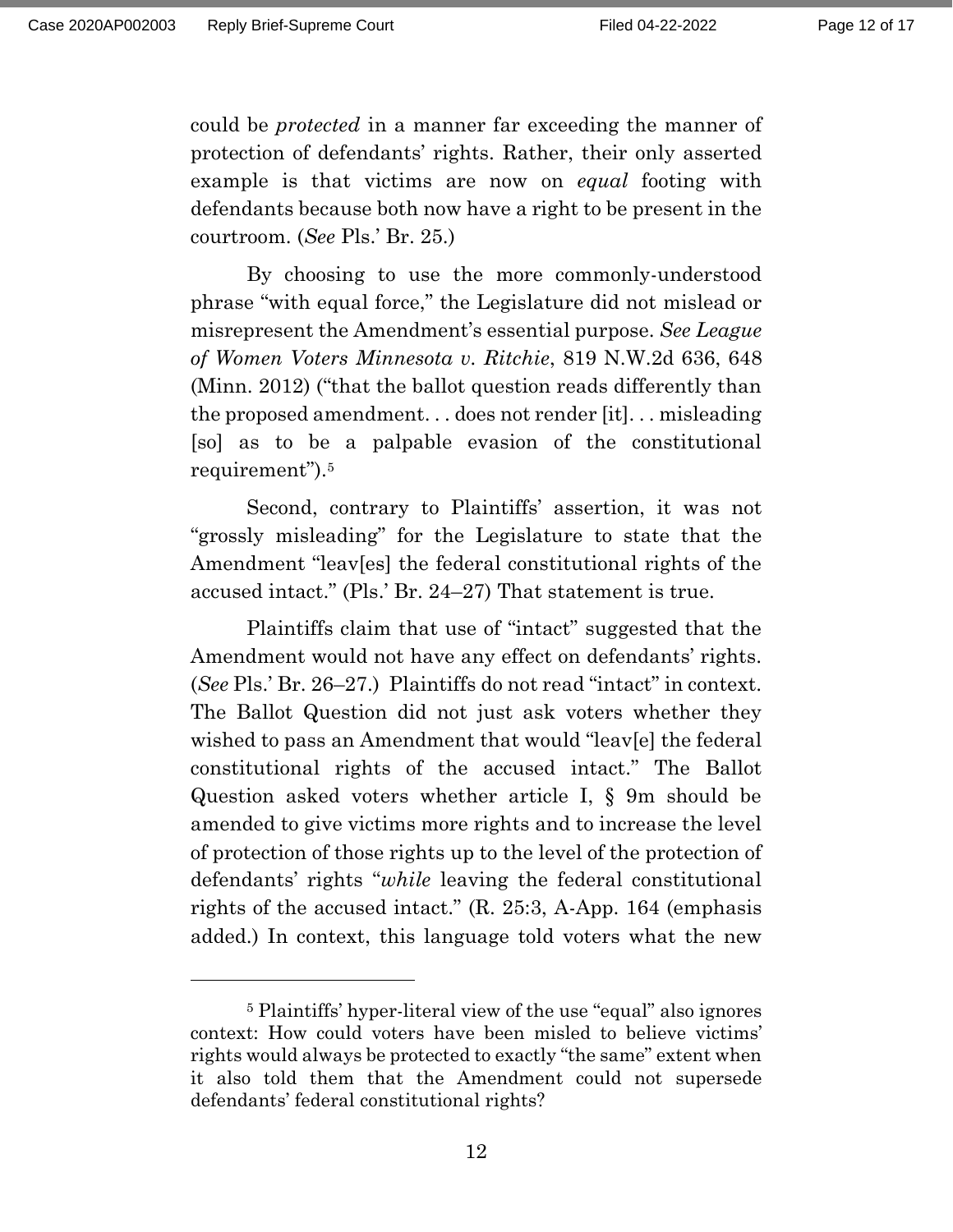could be *protected* in a manner far exceeding the manner of protection of defendants' rights. Rather, their only asserted example is that victims are now on *equal* footing with defendants because both now have a right to be present in the courtroom. (*See* Pls.' Br. 25.)

By choosing to use the more commonly-understood phrase "with equal force," the Legislature did not mislead or misrepresent the Amendment's essential purpose. *See League of Women Voters Minnesota v. Ritchie*, 819 N.W.2d 636, 648 (Minn. 2012) ("that the ballot question reads differently than the proposed amendment. . . does not render [it]. . . misleading [so] as to be a palpable evasion of the constitutional requirement").<sup>5</sup>

Second, contrary to Plaintiffs' assertion, it was not "grossly misleading" for the Legislature to state that the Amendment "leav[es] the federal constitutional rights of the accused intact." (Pls.' Br. 24–27) That statement is true.

Plaintiffs claim that use of "intact" suggested that the Amendment would not have any effect on defendants' rights. (*See* Pls.' Br. 26–27.) Plaintiffs do not read "intact" in context. The Ballot Question did not just ask voters whether they wished to pass an Amendment that would "leav[e] the federal constitutional rights of the accused intact." The Ballot Question asked voters whether article I, § 9m should be amended to give victims more rights and to increase the level of protection of those rights up to the level of the protection of defendants' rights "*while* leaving the federal constitutional rights of the accused intact." (R. 25:3, A-App. 164 (emphasis added.) In context, this language told voters what the new

<sup>5</sup> Plaintiffs' hyper-literal view of the use "equal" also ignores context: How could voters have been misled to believe victims' rights would always be protected to exactly "the same" extent when it also told them that the Amendment could not supersede defendants' federal constitutional rights?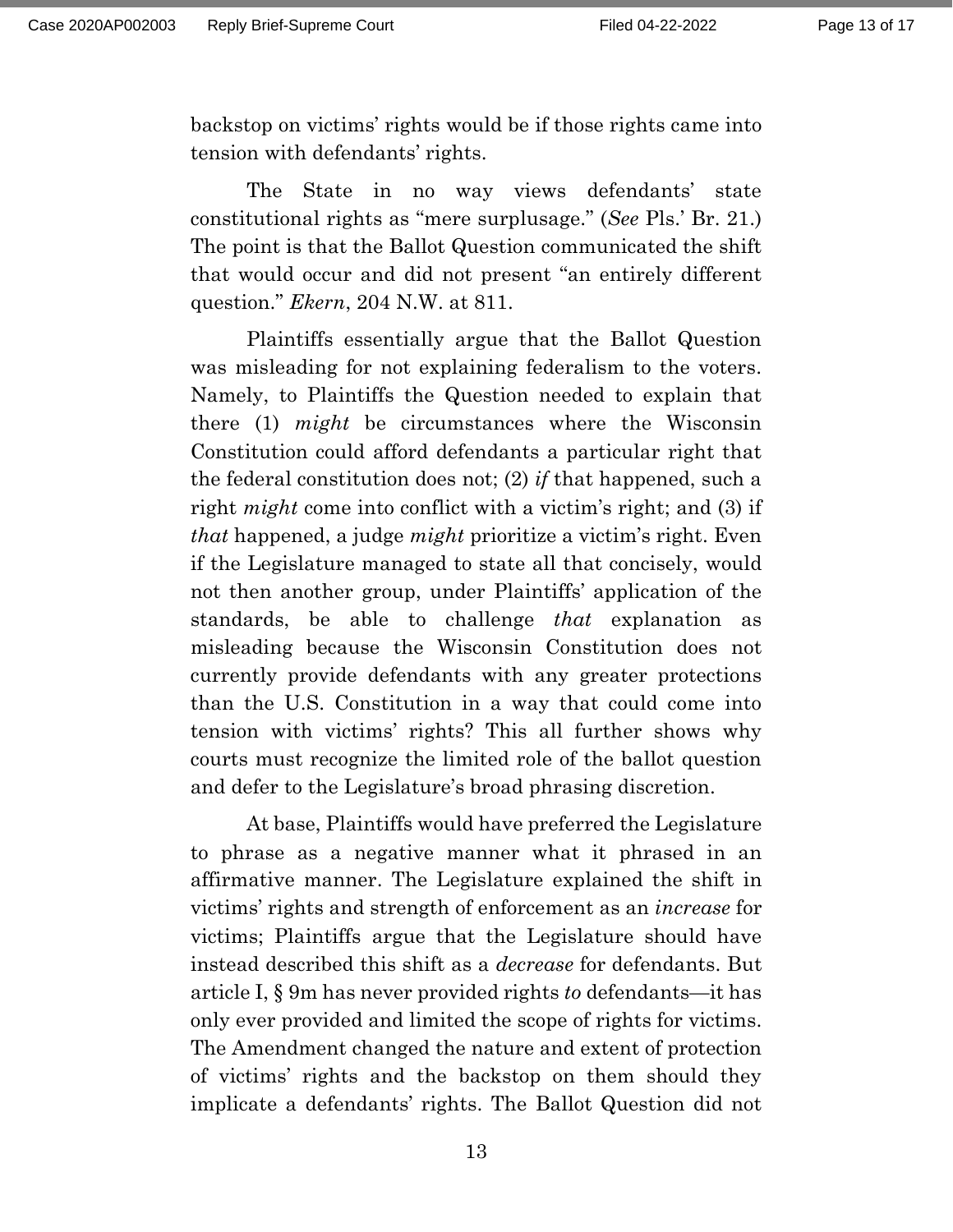backstop on victims' rights would be if those rights came into tension with defendants' rights.

The State in no way views defendants' state constitutional rights as "mere surplusage." (*See* Pls.' Br. 21.) The point is that the Ballot Question communicated the shift that would occur and did not present "an entirely different question." *Ekern*, 204 N.W. at 811.

Plaintiffs essentially argue that the Ballot Question was misleading for not explaining federalism to the voters. Namely, to Plaintiffs the Question needed to explain that there (1) *might* be circumstances where the Wisconsin Constitution could afford defendants a particular right that the federal constitution does not; (2) *if* that happened, such a right *might* come into conflict with a victim's right; and (3) if *that* happened, a judge *might* prioritize a victim's right. Even if the Legislature managed to state all that concisely, would not then another group, under Plaintiffs' application of the standards, be able to challenge *that* explanation as misleading because the Wisconsin Constitution does not currently provide defendants with any greater protections than the U.S. Constitution in a way that could come into tension with victims' rights? This all further shows why courts must recognize the limited role of the ballot question and defer to the Legislature's broad phrasing discretion.

At base, Plaintiffs would have preferred the Legislature to phrase as a negative manner what it phrased in an affirmative manner. The Legislature explained the shift in victims' rights and strength of enforcement as an *increase* for victims; Plaintiffs argue that the Legislature should have instead described this shift as a *decrease* for defendants. But article I, § 9m has never provided rights *to* defendants—it has only ever provided and limited the scope of rights for victims. The Amendment changed the nature and extent of protection of victims' rights and the backstop on them should they implicate a defendants' rights. The Ballot Question did not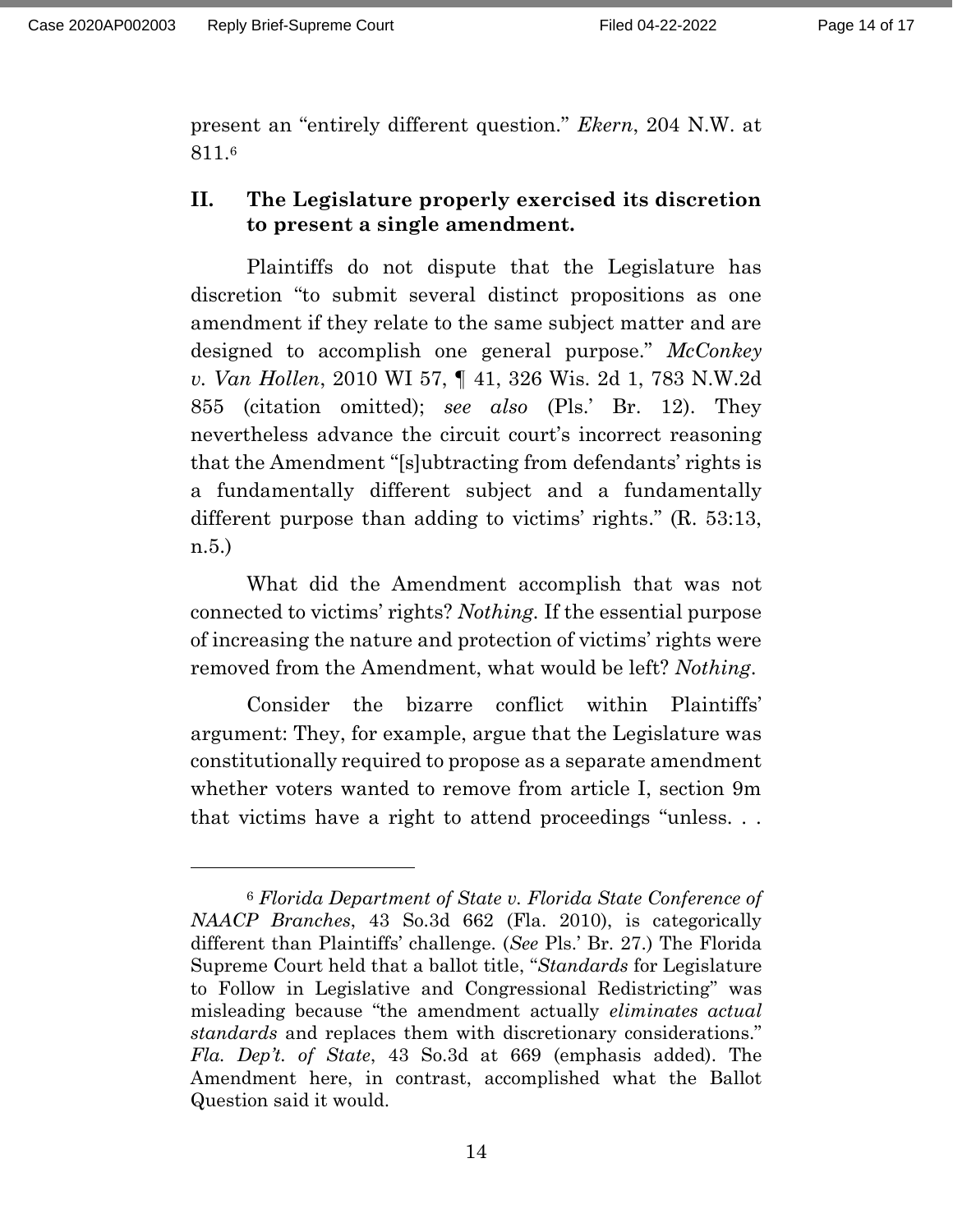present an "entirely different question." *Ekern*, 204 N.W. at 811.<sup>6</sup>

# **II. The Legislature properly exercised its discretion to present a single amendment.**

Plaintiffs do not dispute that the Legislature has discretion "to submit several distinct propositions as one amendment if they relate to the same subject matter and are designed to accomplish one general purpose." *McConkey v. Van Hollen*, 2010 WI 57, ¶ 41, 326 Wis. 2d 1, 783 N.W.2d 855 (citation omitted); *see also* (Pls.' Br. 12). They nevertheless advance the circuit court's incorrect reasoning that the Amendment "[s]ubtracting from defendants' rights is a fundamentally different subject and a fundamentally different purpose than adding to victims' rights." (R. 53:13, n.5.)

What did the Amendment accomplish that was not connected to victims' rights? *Nothing.* If the essential purpose of increasing the nature and protection of victims' rights were removed from the Amendment, what would be left? *Nothing*.

Consider the bizarre conflict within Plaintiffs' argument: They, for example, argue that the Legislature was constitutionally required to propose as a separate amendment whether voters wanted to remove from article I, section 9m that victims have a right to attend proceedings "unless. . .

<sup>6</sup> *Florida Department of State v. Florida State Conference of NAACP Branches*, 43 So.3d 662 (Fla. 2010), is categorically different than Plaintiffs' challenge. (*See* Pls.' Br. 27.) The Florida Supreme Court held that a ballot title, "*Standards* for Legislature to Follow in Legislative and Congressional Redistricting" was misleading because "the amendment actually *eliminates actual standards* and replaces them with discretionary considerations." *Fla. Dep't. of State*, 43 So.3d at 669 (emphasis added). The Amendment here, in contrast, accomplished what the Ballot Question said it would.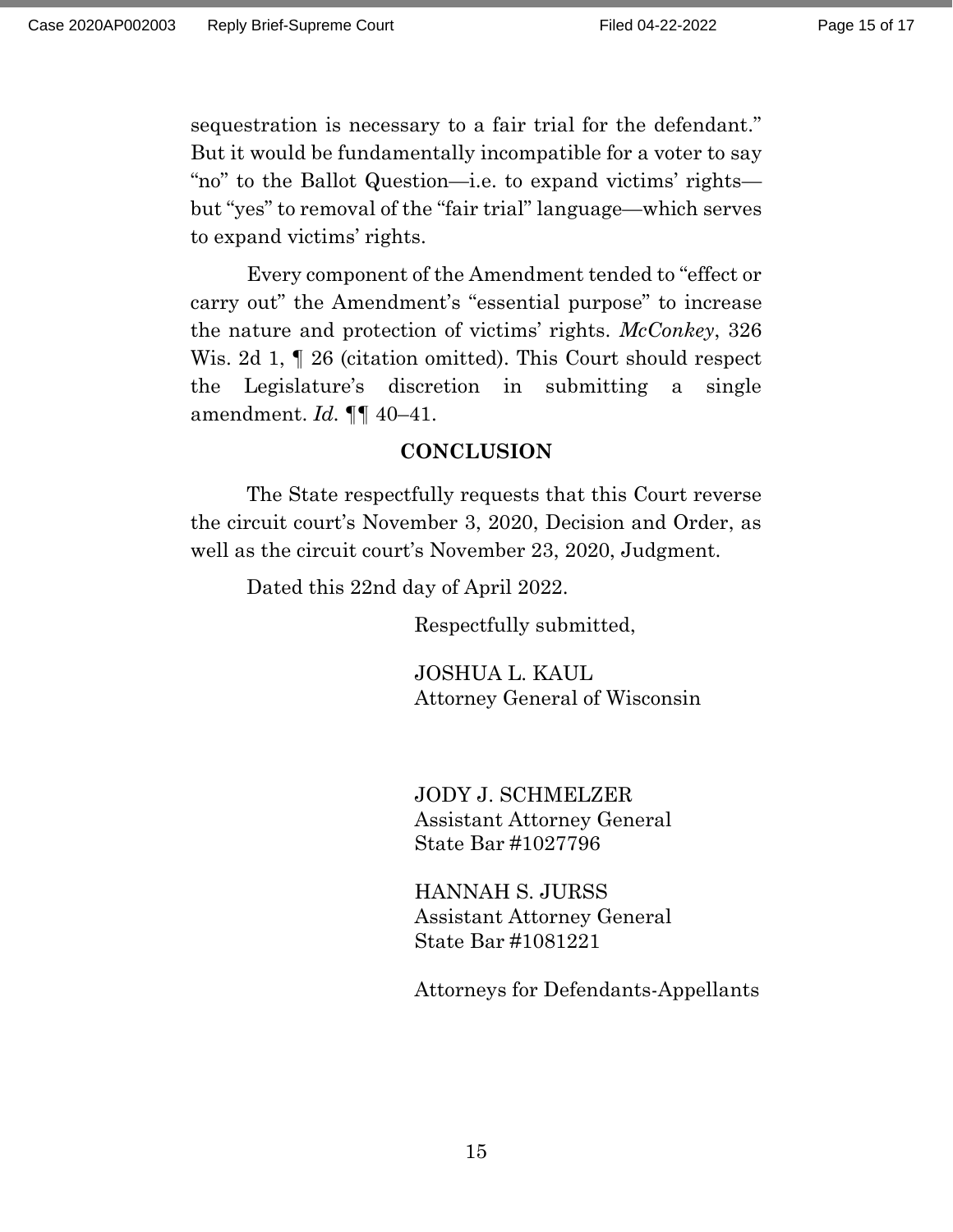sequestration is necessary to a fair trial for the defendant." But it would be fundamentally incompatible for a voter to say "no" to the Ballot Question—i.e. to expand victims' rights but "yes" to removal of the "fair trial" language—which serves to expand victims' rights.

Every component of the Amendment tended to "effect or carry out" the Amendment's "essential purpose" to increase the nature and protection of victims' rights. *McConkey*, 326 Wis. 2d 1,  $\parallel$  26 (citation omitted). This Court should respect the Legislature's discretion in submitting a single amendment. *Id.* ¶¶ 40–41.

### **CONCLUSION**

The State respectfully requests that this Court reverse the circuit court's November 3, 2020, Decision and Order, as well as the circuit court's November 23, 2020, Judgment.

Dated this 22nd day of April 2022.

Respectfully submitted,

JOSHUA L. KAUL Attorney General of Wisconsin

JODY J. SCHMELZER Assistant Attorney General State Bar #1027796

HANNAH S. JURSS Assistant Attorney General State Bar #1081221

Attorneys for Defendants-Appellants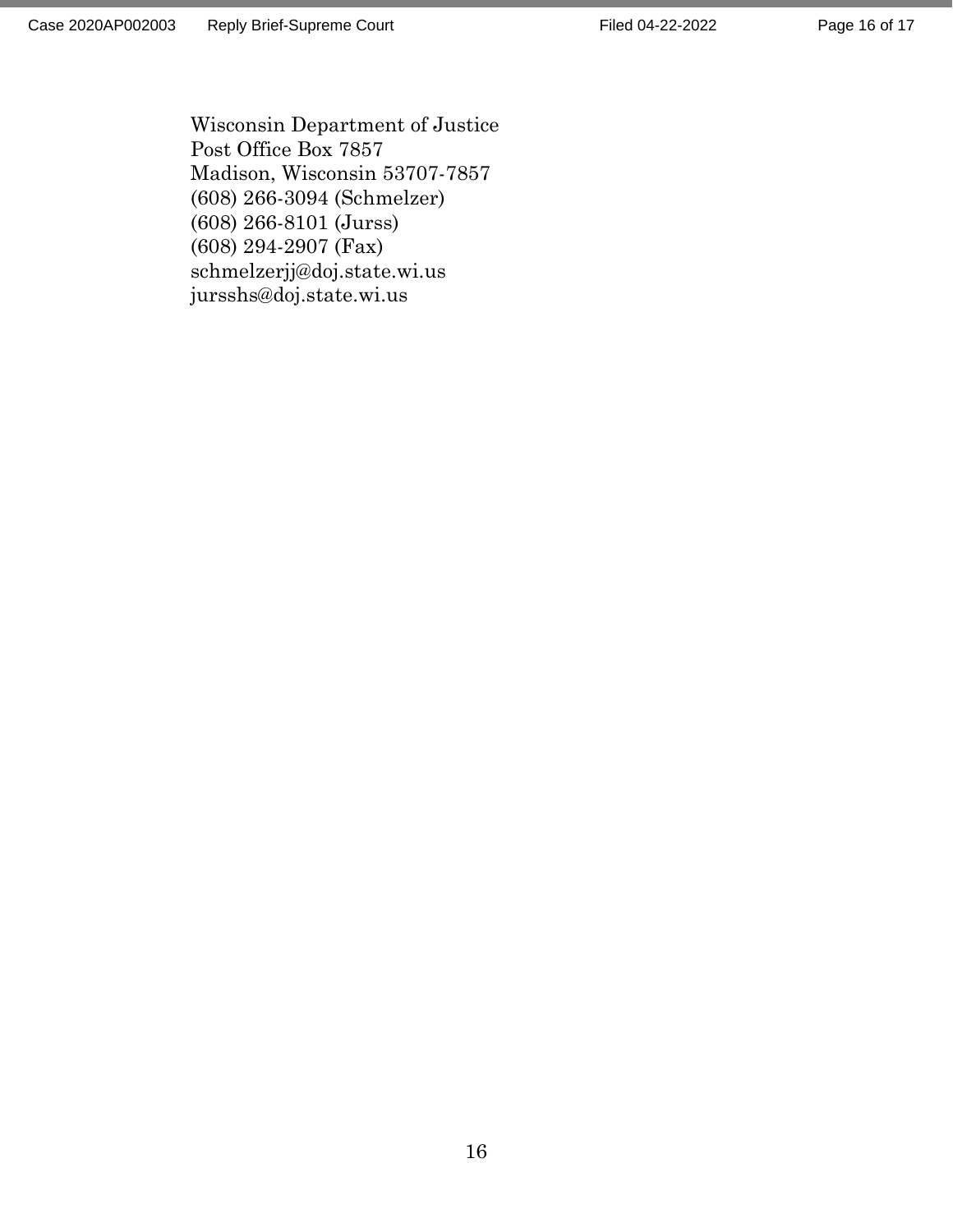Wisconsin Department of Justice Post Office Box 7857 Madison, Wisconsin 53707-7857 (608) 266-3094 (Schmelzer) (608) 266-8101 (Jurss) (608) 294-2907 (Fax) schmelzerjj@doj.state.wi.us jursshs@doj.state.wi.us